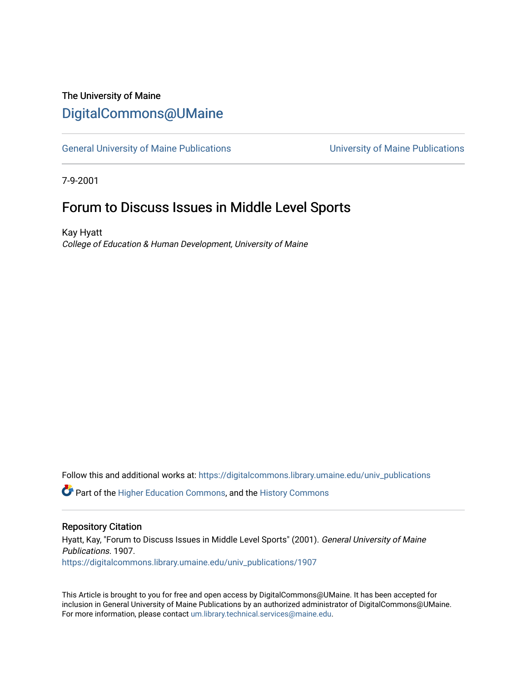## The University of Maine [DigitalCommons@UMaine](https://digitalcommons.library.umaine.edu/)

[General University of Maine Publications](https://digitalcommons.library.umaine.edu/univ_publications) [University of Maine Publications](https://digitalcommons.library.umaine.edu/umaine_publications) 

7-9-2001

## Forum to Discuss Issues in Middle Level Sports

Kay Hyatt College of Education & Human Development, University of Maine

Follow this and additional works at: [https://digitalcommons.library.umaine.edu/univ\\_publications](https://digitalcommons.library.umaine.edu/univ_publications?utm_source=digitalcommons.library.umaine.edu%2Funiv_publications%2F1907&utm_medium=PDF&utm_campaign=PDFCoverPages) 

**C** Part of the [Higher Education Commons,](http://network.bepress.com/hgg/discipline/1245?utm_source=digitalcommons.library.umaine.edu%2Funiv_publications%2F1907&utm_medium=PDF&utm_campaign=PDFCoverPages) and the [History Commons](http://network.bepress.com/hgg/discipline/489?utm_source=digitalcommons.library.umaine.edu%2Funiv_publications%2F1907&utm_medium=PDF&utm_campaign=PDFCoverPages)

#### Repository Citation

Hyatt, Kay, "Forum to Discuss Issues in Middle Level Sports" (2001). General University of Maine Publications. 1907. [https://digitalcommons.library.umaine.edu/univ\\_publications/1907](https://digitalcommons.library.umaine.edu/univ_publications/1907?utm_source=digitalcommons.library.umaine.edu%2Funiv_publications%2F1907&utm_medium=PDF&utm_campaign=PDFCoverPages)

This Article is brought to you for free and open access by DigitalCommons@UMaine. It has been accepted for inclusion in General University of Maine Publications by an authorized administrator of DigitalCommons@UMaine. For more information, please contact [um.library.technical.services@maine.edu](mailto:um.library.technical.services@maine.edu).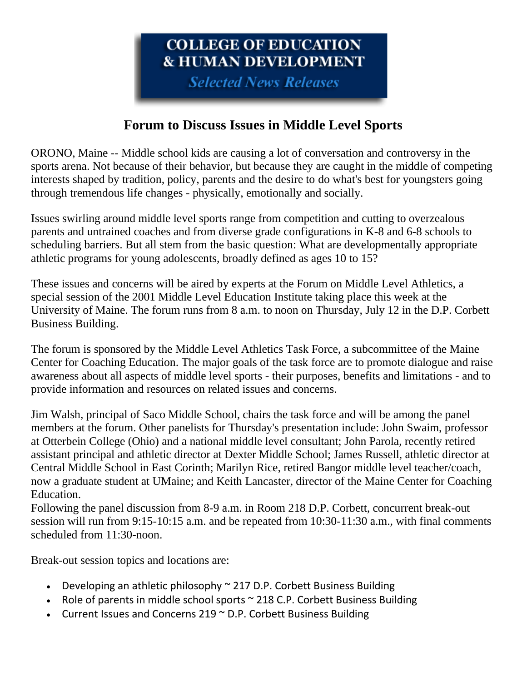# COLLEGE OF EDUCATION **& HUMAN DEVELOPMENT**

**Selected News Releases** 

## **Forum to Discuss Issues in Middle Level Sports**

ORONO, Maine -- Middle school kids are causing a lot of conversation and controversy in the sports arena. Not because of their behavior, but because they are caught in the middle of competing interests shaped by tradition, policy, parents and the desire to do what's best for youngsters going through tremendous life changes - physically, emotionally and socially.

Issues swirling around middle level sports range from competition and cutting to overzealous parents and untrained coaches and from diverse grade configurations in K-8 and 6-8 schools to scheduling barriers. But all stem from the basic question: What are developmentally appropriate athletic programs for young adolescents, broadly defined as ages 10 to 15?

These issues and concerns will be aired by experts at the Forum on Middle Level Athletics, a special session of the 2001 Middle Level Education Institute taking place this week at the University of Maine. The forum runs from 8 a.m. to noon on Thursday, July 12 in the D.P. Corbett Business Building.

The forum is sponsored by the Middle Level Athletics Task Force, a subcommittee of the Maine Center for Coaching Education. The major goals of the task force are to promote dialogue and raise awareness about all aspects of middle level sports - their purposes, benefits and limitations - and to provide information and resources on related issues and concerns.

Jim Walsh, principal of Saco Middle School, chairs the task force and will be among the panel members at the forum. Other panelists for Thursday's presentation include: John Swaim, professor at Otterbein College (Ohio) and a national middle level consultant; John Parola, recently retired assistant principal and athletic director at Dexter Middle School; James Russell, athletic director at Central Middle School in East Corinth; Marilyn Rice, retired Bangor middle level teacher/coach, now a graduate student at UMaine; and Keith Lancaster, director of the Maine Center for Coaching Education.

Following the panel discussion from 8-9 a.m. in Room 218 D.P. Corbett, concurrent break-out session will run from 9:15-10:15 a.m. and be repeated from 10:30-11:30 a.m., with final comments scheduled from 11:30-noon.

Break-out session topics and locations are:

- Developing an athletic philosophy ~ 217 D.P. Corbett Business Building
- Role of parents in middle school sports  $\sim$  218 C.P. Corbett Business Building
- Current Issues and Concerns 219 ~ D.P. Corbett Business Building